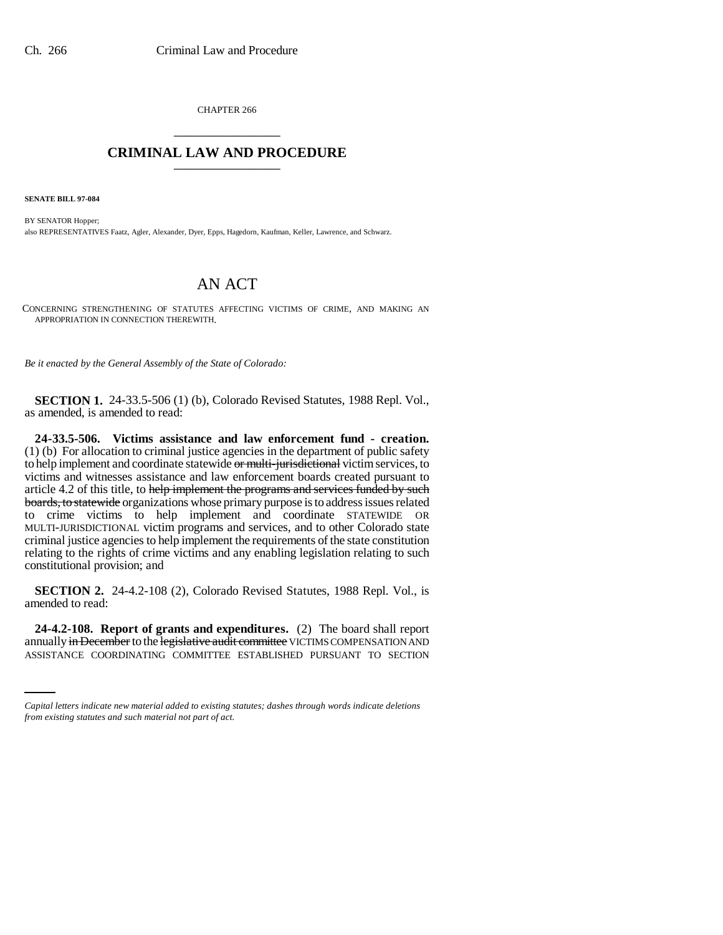CHAPTER 266 \_\_\_\_\_\_\_\_\_\_\_\_\_\_\_

## **CRIMINAL LAW AND PROCEDURE** \_\_\_\_\_\_\_\_\_\_\_\_\_\_\_

**SENATE BILL 97-084**

BY SENATOR Hopper; also REPRESENTATIVES Faatz, Agler, Alexander, Dyer, Epps, Hagedorn, Kaufman, Keller, Lawrence, and Schwarz.

## AN ACT

CONCERNING STRENGTHENING OF STATUTES AFFECTING VICTIMS OF CRIME, AND MAKING AN APPROPRIATION IN CONNECTION THEREWITH.

*Be it enacted by the General Assembly of the State of Colorado:*

**SECTION 1.** 24-33.5-506 (1) (b), Colorado Revised Statutes, 1988 Repl. Vol., as amended, is amended to read:

**24-33.5-506. Victims assistance and law enforcement fund - creation.** (1) (b) For allocation to criminal justice agencies in the department of public safety to help implement and coordinate statewide or multi-jurisdictional victim services, to victims and witnesses assistance and law enforcement boards created pursuant to article 4.2 of this title, to help implement the programs and services funded by such boards, to statewide organizations whose primary purpose is to address issues related to crime victims to help implement and coordinate STATEWIDE OR MULTI-JURISDICTIONAL victim programs and services, and to other Colorado state criminal justice agencies to help implement the requirements of the state constitution relating to the rights of crime victims and any enabling legislation relating to such constitutional provision; and

**SECTION 2.** 24-4.2-108 (2), Colorado Revised Statutes, 1988 Repl. Vol., is amended to read:

 **24-4.2-108. Report of grants and expenditures.** (2) The board shall report annually in December to the legislative audit committee VICTIMS COMPENSATION AND ASSISTANCE COORDINATING COMMITTEE ESTABLISHED PURSUANT TO SECTION

*Capital letters indicate new material added to existing statutes; dashes through words indicate deletions from existing statutes and such material not part of act.*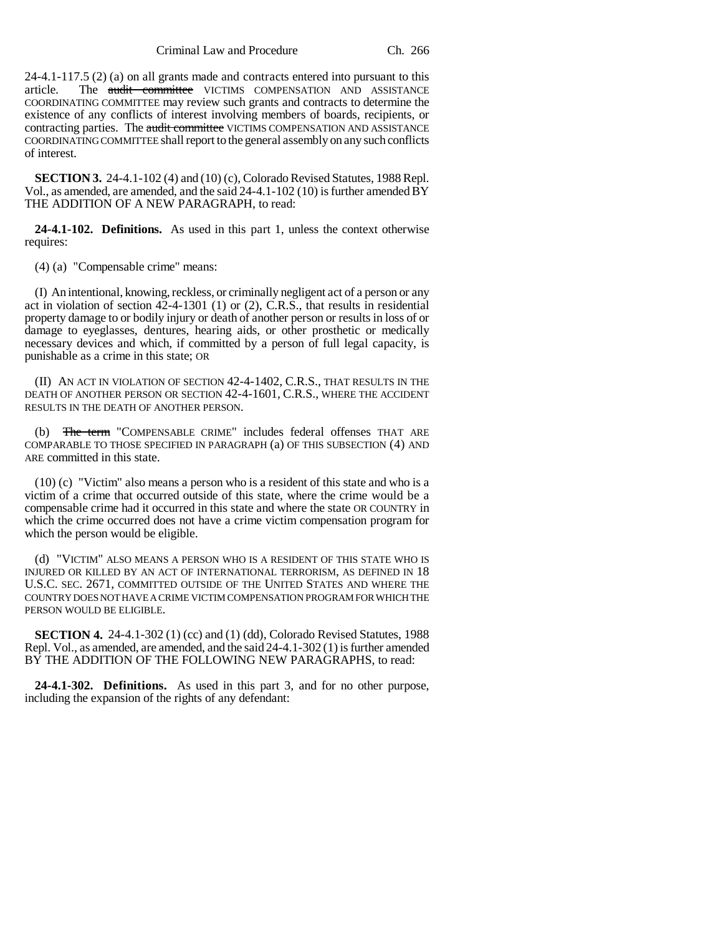Criminal Law and Procedure Ch. 266

24-4.1-117.5 (2) (a) on all grants made and contracts entered into pursuant to this article. The audit committee VICTIMS COMPENSATION AND ASSISTANCE COORDINATING COMMITTEE may review such grants and contracts to determine the existence of any conflicts of interest involving members of boards, recipients, or contracting parties. The audit committee VICTIMS COMPENSATION AND ASSISTANCE COORDINATING COMMITTEE shall report to the general assembly on any such conflicts of interest.

**SECTION 3.** 24-4.1-102 (4) and (10) (c), Colorado Revised Statutes, 1988 Repl. Vol., as amended, are amended, and the said  $24-4.1-102$  (10) is further amended  $\overline{BY}$ THE ADDITION OF A NEW PARAGRAPH, to read:

**24-4.1-102. Definitions.** As used in this part 1, unless the context otherwise requires:

(4) (a) "Compensable crime" means:

(I) An intentional, knowing, reckless, or criminally negligent act of a person or any act in violation of section 42-4-1301 (1) or (2), C.R.S., that results in residential property damage to or bodily injury or death of another person or results in loss of or damage to eyeglasses, dentures, hearing aids, or other prosthetic or medically necessary devices and which, if committed by a person of full legal capacity, is punishable as a crime in this state; OR

(II) AN ACT IN VIOLATION OF SECTION 42-4-1402, C.R.S., THAT RESULTS IN THE DEATH OF ANOTHER PERSON OR SECTION 42-4-1601, C.R.S., WHERE THE ACCIDENT RESULTS IN THE DEATH OF ANOTHER PERSON.

(b) The term "COMPENSABLE CRIME" includes federal offenses THAT ARE COMPARABLE TO THOSE SPECIFIED IN PARAGRAPH (a) OF THIS SUBSECTION (4) AND ARE committed in this state.

(10) (c) "Victim" also means a person who is a resident of this state and who is a victim of a crime that occurred outside of this state, where the crime would be a compensable crime had it occurred in this state and where the state OR COUNTRY in which the crime occurred does not have a crime victim compensation program for which the person would be eligible.

(d) "VICTIM" ALSO MEANS A PERSON WHO IS A RESIDENT OF THIS STATE WHO IS INJURED OR KILLED BY AN ACT OF INTERNATIONAL TERRORISM, AS DEFINED IN 18 U.S.C. SEC. 2671, COMMITTED OUTSIDE OF THE UNITED STATES AND WHERE THE COUNTRY DOES NOT HAVE A CRIME VICTIM COMPENSATION PROGRAM FOR WHICH THE PERSON WOULD BE ELIGIBLE.

**SECTION 4.** 24-4.1-302 (1) (cc) and (1) (dd), Colorado Revised Statutes, 1988 Repl. Vol., as amended, are amended, and the said 24-4.1-302 (1) is further amended BY THE ADDITION OF THE FOLLOWING NEW PARAGRAPHS, to read:

**24-4.1-302. Definitions.** As used in this part 3, and for no other purpose, including the expansion of the rights of any defendant: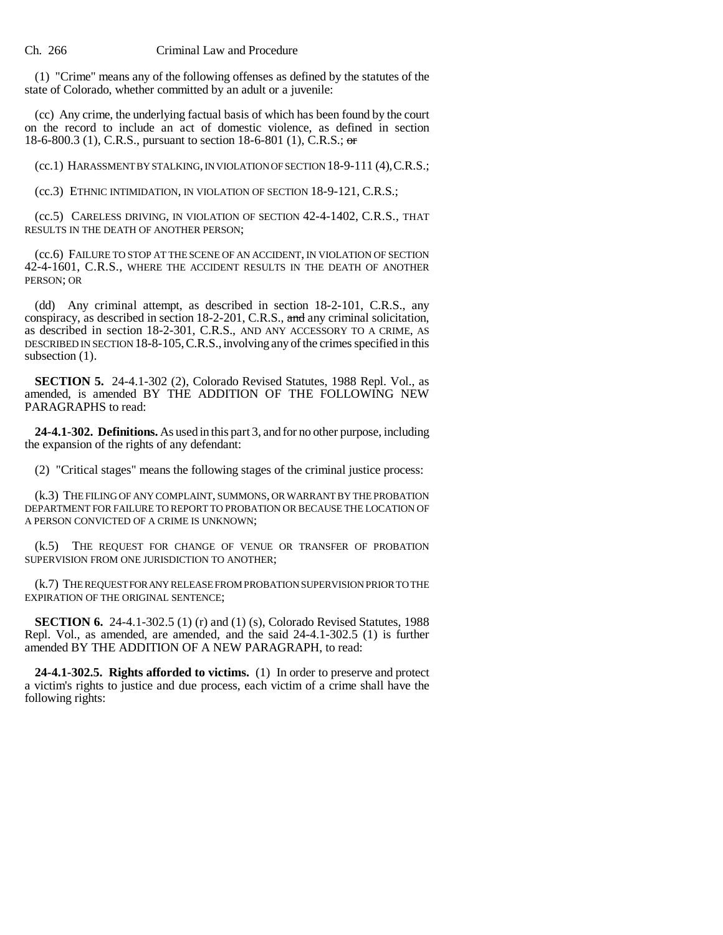(1) "Crime" means any of the following offenses as defined by the statutes of the state of Colorado, whether committed by an adult or a juvenile:

(cc) Any crime, the underlying factual basis of which has been found by the court on the record to include an act of domestic violence, as defined in section 18-6-800.3 (1), C.R.S., pursuant to section 18-6-801 (1), C.R.S.; or

(cc.1) HARASSMENT BY STALKING, IN VIOLATION OF SECTION 18-9-111 (4),C.R.S.;

(cc.3) ETHNIC INTIMIDATION, IN VIOLATION OF SECTION 18-9-121, C.R.S.;

(cc.5) CARELESS DRIVING, IN VIOLATION OF SECTION 42-4-1402, C.R.S., THAT RESULTS IN THE DEATH OF ANOTHER PERSON;

(cc.6) FAILURE TO STOP AT THE SCENE OF AN ACCIDENT, IN VIOLATION OF SECTION 42-4-1601, C.R.S., WHERE THE ACCIDENT RESULTS IN THE DEATH OF ANOTHER PERSON; OR

(dd) Any criminal attempt, as described in section 18-2-101, C.R.S., any conspiracy, as described in section 18-2-201, C.R.S., and any criminal solicitation, as described in section 18-2-301, C.R.S., AND ANY ACCESSORY TO A CRIME, AS DESCRIBED IN SECTION 18-8-105,C.R.S.,involving any of the crimes specified in this subsection  $(1)$ .

**SECTION 5.** 24-4.1-302 (2), Colorado Revised Statutes, 1988 Repl. Vol., as amended, is amended BY THE ADDITION OF THE FOLLOWING NEW PARAGRAPHS to read:

**24-4.1-302. Definitions.** As used in this part 3, and for no other purpose, including the expansion of the rights of any defendant:

(2) "Critical stages" means the following stages of the criminal justice process:

(k.3) THE FILING OF ANY COMPLAINT, SUMMONS, OR WARRANT BY THE PROBATION DEPARTMENT FOR FAILURE TO REPORT TO PROBATION OR BECAUSE THE LOCATION OF A PERSON CONVICTED OF A CRIME IS UNKNOWN;

(k.5) THE REQUEST FOR CHANGE OF VENUE OR TRANSFER OF PROBATION SUPERVISION FROM ONE JURISDICTION TO ANOTHER;

(k.7) THE REQUEST FOR ANY RELEASE FROM PROBATION SUPERVISION PRIOR TO THE EXPIRATION OF THE ORIGINAL SENTENCE;

**SECTION 6.** 24-4.1-302.5 (1) (r) and (1) (s), Colorado Revised Statutes, 1988 Repl. Vol., as amended, are amended, and the said 24-4.1-302.5 (1) is further amended BY THE ADDITION OF A NEW PARAGRAPH, to read:

**24-4.1-302.5. Rights afforded to victims.** (1) In order to preserve and protect a victim's rights to justice and due process, each victim of a crime shall have the following rights: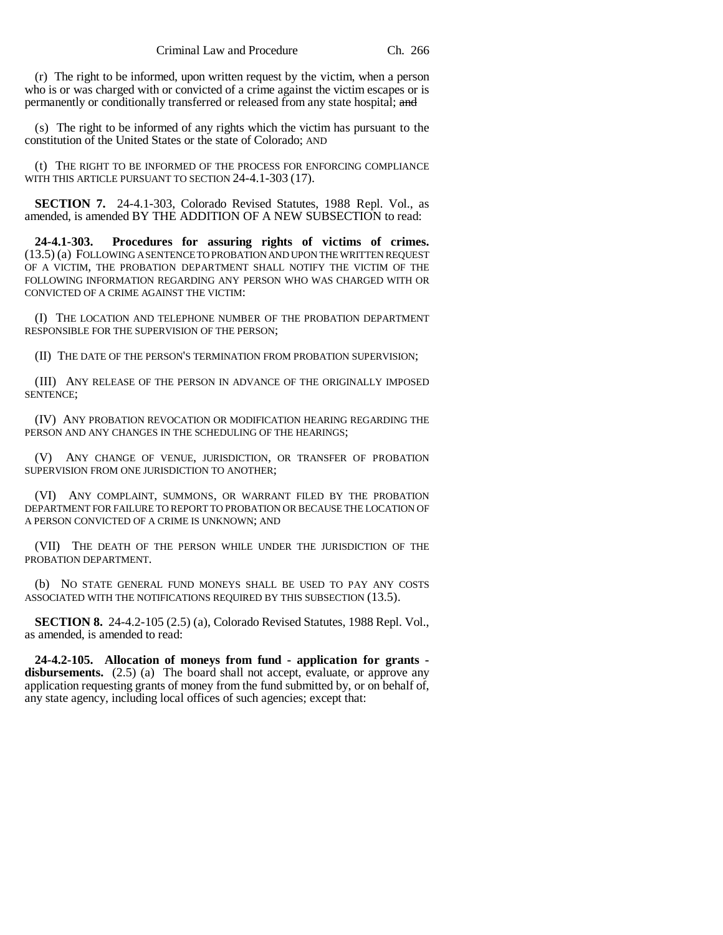(r) The right to be informed, upon written request by the victim, when a person who is or was charged with or convicted of a crime against the victim escapes or is permanently or conditionally transferred or released from any state hospital; and

(s) The right to be informed of any rights which the victim has pursuant to the constitution of the United States or the state of Colorado; AND

(t) THE RIGHT TO BE INFORMED OF THE PROCESS FOR ENFORCING COMPLIANCE WITH THIS ARTICLE PURSUANT TO SECTION 24-4.1-303 (17).

**SECTION 7.** 24-4.1-303, Colorado Revised Statutes, 1988 Repl. Vol., as amended, is amended BY THE ADDITION OF A NEW SUBSECTION to read:

**24-4.1-303. Procedures for assuring rights of victims of crimes.** (13.5) (a) FOLLOWING A SENTENCE TO PROBATION AND UPON THE WRITTEN REQUEST OF A VICTIM, THE PROBATION DEPARTMENT SHALL NOTIFY THE VICTIM OF THE FOLLOWING INFORMATION REGARDING ANY PERSON WHO WAS CHARGED WITH OR CONVICTED OF A CRIME AGAINST THE VICTIM:

(I) THE LOCATION AND TELEPHONE NUMBER OF THE PROBATION DEPARTMENT RESPONSIBLE FOR THE SUPERVISION OF THE PERSON;

(II) THE DATE OF THE PERSON'S TERMINATION FROM PROBATION SUPERVISION;

(III) ANY RELEASE OF THE PERSON IN ADVANCE OF THE ORIGINALLY IMPOSED SENTENCE;

(IV) ANY PROBATION REVOCATION OR MODIFICATION HEARING REGARDING THE PERSON AND ANY CHANGES IN THE SCHEDULING OF THE HEARINGS;

(V) ANY CHANGE OF VENUE, JURISDICTION, OR TRANSFER OF PROBATION SUPERVISION FROM ONE JURISDICTION TO ANOTHER;

(VI) ANY COMPLAINT, SUMMONS, OR WARRANT FILED BY THE PROBATION DEPARTMENT FOR FAILURE TO REPORT TO PROBATION OR BECAUSE THE LOCATION OF A PERSON CONVICTED OF A CRIME IS UNKNOWN; AND

(VII) THE DEATH OF THE PERSON WHILE UNDER THE JURISDICTION OF THE PROBATION DEPARTMENT.

(b) NO STATE GENERAL FUND MONEYS SHALL BE USED TO PAY ANY COSTS ASSOCIATED WITH THE NOTIFICATIONS REQUIRED BY THIS SUBSECTION (13.5).

**SECTION 8.** 24-4.2-105 (2.5) (a), Colorado Revised Statutes, 1988 Repl. Vol., as amended, is amended to read:

**24-4.2-105. Allocation of moneys from fund - application for grants**  disbursements.  $(2.5)$  (a) The board shall not accept, evaluate, or approve any application requesting grants of money from the fund submitted by, or on behalf of, any state agency, including local offices of such agencies; except that: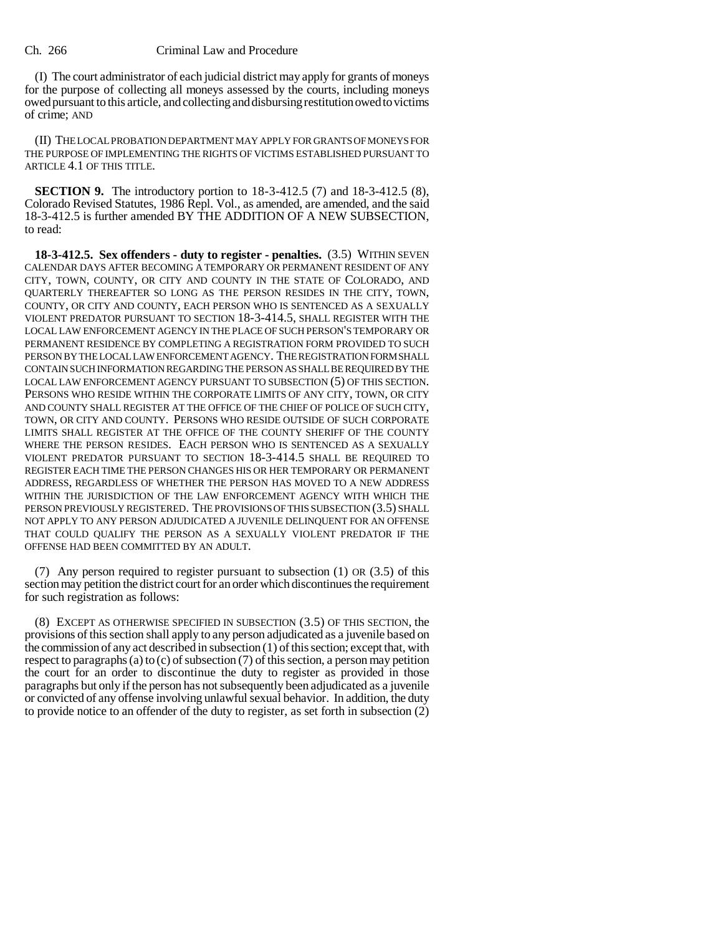## Ch. 266 Criminal Law and Procedure

(I) The court administrator of each judicial district may apply for grants of moneys for the purpose of collecting all moneys assessed by the courts, including moneys owed pursuant to this article, and collecting and disbursing restitution owed to victims of crime; AND

(II) THE LOCAL PROBATION DEPARTMENT MAY APPLY FOR GRANTS OF MONEYS FOR THE PURPOSE OF IMPLEMENTING THE RIGHTS OF VICTIMS ESTABLISHED PURSUANT TO ARTICLE 4.1 OF THIS TITLE.

**SECTION 9.** The introductory portion to 18-3-412.5 (7) and 18-3-412.5 (8), Colorado Revised Statutes, 1986 Repl. Vol., as amended, are amended, and the said 18-3-412.5 is further amended BY THE ADDITION OF A NEW SUBSECTION, to read:

**18-3-412.5. Sex offenders - duty to register - penalties.** (3.5) WITHIN SEVEN CALENDAR DAYS AFTER BECOMING A TEMPORARY OR PERMANENT RESIDENT OF ANY CITY, TOWN, COUNTY, OR CITY AND COUNTY IN THE STATE OF COLORADO, AND QUARTERLY THEREAFTER SO LONG AS THE PERSON RESIDES IN THE CITY, TOWN, COUNTY, OR CITY AND COUNTY, EACH PERSON WHO IS SENTENCED AS A SEXUALLY VIOLENT PREDATOR PURSUANT TO SECTION 18-3-414.5, SHALL REGISTER WITH THE LOCAL LAW ENFORCEMENT AGENCY IN THE PLACE OF SUCH PERSON'S TEMPORARY OR PERMANENT RESIDENCE BY COMPLETING A REGISTRATION FORM PROVIDED TO SUCH PERSON BY THE LOCAL LAW ENFORCEMENT AGENCY. THE REGISTRATION FORM SHALL CONTAIN SUCH INFORMATION REGARDING THE PERSON AS SHALL BE REQUIRED BY THE LOCAL LAW ENFORCEMENT AGENCY PURSUANT TO SUBSECTION (5) OF THIS SECTION. PERSONS WHO RESIDE WITHIN THE CORPORATE LIMITS OF ANY CITY, TOWN, OR CITY AND COUNTY SHALL REGISTER AT THE OFFICE OF THE CHIEF OF POLICE OF SUCH CITY, TOWN, OR CITY AND COUNTY. PERSONS WHO RESIDE OUTSIDE OF SUCH CORPORATE LIMITS SHALL REGISTER AT THE OFFICE OF THE COUNTY SHERIFF OF THE COUNTY WHERE THE PERSON RESIDES. EACH PERSON WHO IS SENTENCED AS A SEXUALLY VIOLENT PREDATOR PURSUANT TO SECTION 18-3-414.5 SHALL BE REQUIRED TO REGISTER EACH TIME THE PERSON CHANGES HIS OR HER TEMPORARY OR PERMANENT ADDRESS, REGARDLESS OF WHETHER THE PERSON HAS MOVED TO A NEW ADDRESS WITHIN THE JURISDICTION OF THE LAW ENFORCEMENT AGENCY WITH WHICH THE PERSON PREVIOUSLY REGISTERED. THE PROVISIONS OF THIS SUBSECTION (3.5) SHALL NOT APPLY TO ANY PERSON ADJUDICATED A JUVENILE DELINQUENT FOR AN OFFENSE THAT COULD QUALIFY THE PERSON AS A SEXUALLY VIOLENT PREDATOR IF THE OFFENSE HAD BEEN COMMITTED BY AN ADULT.

(7) Any person required to register pursuant to subsection (1) OR (3.5) of this section may petition the district court for an order which discontinues the requirement for such registration as follows:

(8) EXCEPT AS OTHERWISE SPECIFIED IN SUBSECTION (3.5) OF THIS SECTION, the provisions of this section shall apply to any person adjudicated as a juvenile based on the commission of any act described in subsection (1) of this section; except that, with respect to paragraphs (a) to (c) of subsection (7) of this section, a person may petition the court for an order to discontinue the duty to register as provided in those paragraphs but only if the person has not subsequently been adjudicated as a juvenile or convicted of any offense involving unlawful sexual behavior. In addition, the duty to provide notice to an offender of the duty to register, as set forth in subsection (2)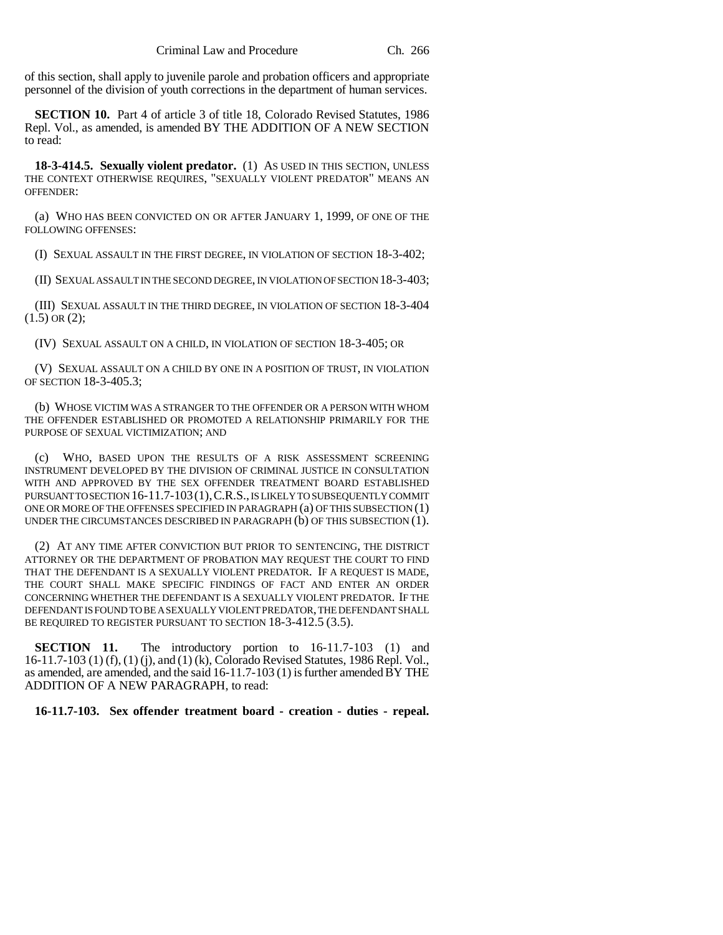of this section, shall apply to juvenile parole and probation officers and appropriate personnel of the division of youth corrections in the department of human services.

**SECTION 10.** Part 4 of article 3 of title 18, Colorado Revised Statutes, 1986 Repl. Vol., as amended, is amended BY THE ADDITION OF A NEW SECTION to read:

**18-3-414.5. Sexually violent predator.** (1) AS USED IN THIS SECTION, UNLESS THE CONTEXT OTHERWISE REQUIRES, "SEXUALLY VIOLENT PREDATOR" MEANS AN OFFENDER:

(a) WHO HAS BEEN CONVICTED ON OR AFTER JANUARY 1, 1999, OF ONE OF THE FOLLOWING OFFENSES:

(I) SEXUAL ASSAULT IN THE FIRST DEGREE, IN VIOLATION OF SECTION 18-3-402;

(II) SEXUAL ASSAULT IN THE SECOND DEGREE, IN VIOLATION OF SECTION 18-3-403;

(III) SEXUAL ASSAULT IN THE THIRD DEGREE, IN VIOLATION OF SECTION 18-3-404  $(1.5)$  OR  $(2)$ ;

(IV) SEXUAL ASSAULT ON A CHILD, IN VIOLATION OF SECTION 18-3-405; OR

(V) SEXUAL ASSAULT ON A CHILD BY ONE IN A POSITION OF TRUST, IN VIOLATION OF SECTION 18-3-405.3;

(b) WHOSE VICTIM WAS A STRANGER TO THE OFFENDER OR A PERSON WITH WHOM THE OFFENDER ESTABLISHED OR PROMOTED A RELATIONSHIP PRIMARILY FOR THE PURPOSE OF SEXUAL VICTIMIZATION; AND

(c) WHO, BASED UPON THE RESULTS OF A RISK ASSESSMENT SCREENING INSTRUMENT DEVELOPED BY THE DIVISION OF CRIMINAL JUSTICE IN CONSULTATION WITH AND APPROVED BY THE SEX OFFENDER TREATMENT BOARD ESTABLISHED PURSUANT TO SECTION 16-11.7-103(1),C.R.S., IS LIKELY TO SUBSEQUENTLY COMMIT ONE OR MORE OF THE OFFENSES SPECIFIED IN PARAGRAPH (a) OF THIS SUBSECTION (1) UNDER THE CIRCUMSTANCES DESCRIBED IN PARAGRAPH (b) OF THIS SUBSECTION (1).

(2) AT ANY TIME AFTER CONVICTION BUT PRIOR TO SENTENCING, THE DISTRICT ATTORNEY OR THE DEPARTMENT OF PROBATION MAY REQUEST THE COURT TO FIND THAT THE DEFENDANT IS A SEXUALLY VIOLENT PREDATOR. IF A REQUEST IS MADE, THE COURT SHALL MAKE SPECIFIC FINDINGS OF FACT AND ENTER AN ORDER CONCERNING WHETHER THE DEFENDANT IS A SEXUALLY VIOLENT PREDATOR. IF THE DEFENDANT IS FOUND TO BE A SEXUALLY VIOLENT PREDATOR, THE DEFENDANT SHALL BE REQUIRED TO REGISTER PURSUANT TO SECTION 18-3-412.5 (3.5).

**SECTION 11.** The introductory portion to 16-11.7-103 (1) and 16-11.7-103 (1) (f), (1) (j), and (1) (k), Colorado Revised Statutes, 1986 Repl. Vol., as amended, are amended, and the said 16-11.7-103 (1) is further amended BY THE ADDITION OF A NEW PARAGRAPH, to read:

**16-11.7-103. Sex offender treatment board - creation - duties - repeal.**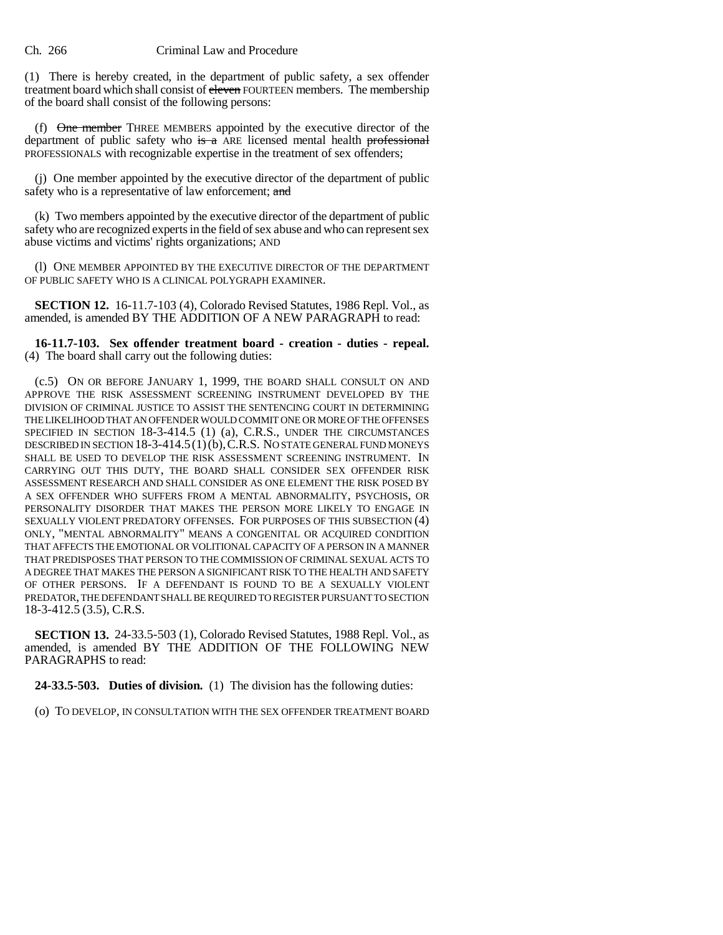## Ch. 266 Criminal Law and Procedure

(1) There is hereby created, in the department of public safety, a sex offender treatment board which shall consist of eleven FOURTEEN members. The membership of the board shall consist of the following persons:

(f) One member THREE MEMBERS appointed by the executive director of the department of public safety who is a ARE licensed mental health professional PROFESSIONALS with recognizable expertise in the treatment of sex offenders;

(j) One member appointed by the executive director of the department of public safety who is a representative of law enforcement; and

(k) Two members appointed by the executive director of the department of public safety who are recognized experts in the field of sex abuse and who can represent sex abuse victims and victims' rights organizations; AND

(l) ONE MEMBER APPOINTED BY THE EXECUTIVE DIRECTOR OF THE DEPARTMENT OF PUBLIC SAFETY WHO IS A CLINICAL POLYGRAPH EXAMINER.

**SECTION 12.** 16-11.7-103 (4), Colorado Revised Statutes, 1986 Repl. Vol., as amended, is amended BY THE ADDITION OF A NEW PARAGRAPH to read:

**16-11.7-103. Sex offender treatment board - creation - duties - repeal.** (4) The board shall carry out the following duties:

(c.5) ON OR BEFORE JANUARY 1, 1999, THE BOARD SHALL CONSULT ON AND APPROVE THE RISK ASSESSMENT SCREENING INSTRUMENT DEVELOPED BY THE DIVISION OF CRIMINAL JUSTICE TO ASSIST THE SENTENCING COURT IN DETERMINING THE LIKELIHOOD THAT AN OFFENDER WOULD COMMIT ONE OR MORE OF THE OFFENSES SPECIFIED IN SECTION 18-3-414.5 (1) (a), C.R.S., UNDER THE CIRCUMSTANCES DESCRIBED IN SECTION 18-3-414.5(1)(b),C.R.S. NO STATE GENERAL FUND MONEYS SHALL BE USED TO DEVELOP THE RISK ASSESSMENT SCREENING INSTRUMENT. IN CARRYING OUT THIS DUTY, THE BOARD SHALL CONSIDER SEX OFFENDER RISK ASSESSMENT RESEARCH AND SHALL CONSIDER AS ONE ELEMENT THE RISK POSED BY A SEX OFFENDER WHO SUFFERS FROM A MENTAL ABNORMALITY, PSYCHOSIS, OR PERSONALITY DISORDER THAT MAKES THE PERSON MORE LIKELY TO ENGAGE IN SEXUALLY VIOLENT PREDATORY OFFENSES. FOR PURPOSES OF THIS SUBSECTION (4) ONLY, "MENTAL ABNORMALITY" MEANS A CONGENITAL OR ACQUIRED CONDITION THAT AFFECTS THE EMOTIONAL OR VOLITIONAL CAPACITY OF A PERSON IN A MANNER THAT PREDISPOSES THAT PERSON TO THE COMMISSION OF CRIMINAL SEXUAL ACTS TO A DEGREE THAT MAKES THE PERSON A SIGNIFICANT RISK TO THE HEALTH AND SAFETY OF OTHER PERSONS. IF A DEFENDANT IS FOUND TO BE A SEXUALLY VIOLENT PREDATOR, THE DEFENDANT SHALL BE REQUIRED TO REGISTER PURSUANT TO SECTION 18-3-412.5 (3.5), C.R.S.

**SECTION 13.** 24-33.5-503 (1), Colorado Revised Statutes, 1988 Repl. Vol., as amended, is amended BY THE ADDITION OF THE FOLLOWING NEW PARAGRAPHS to read:

**24-33.5-503. Duties of division.** (1) The division has the following duties:

(o) TO DEVELOP, IN CONSULTATION WITH THE SEX OFFENDER TREATMENT BOARD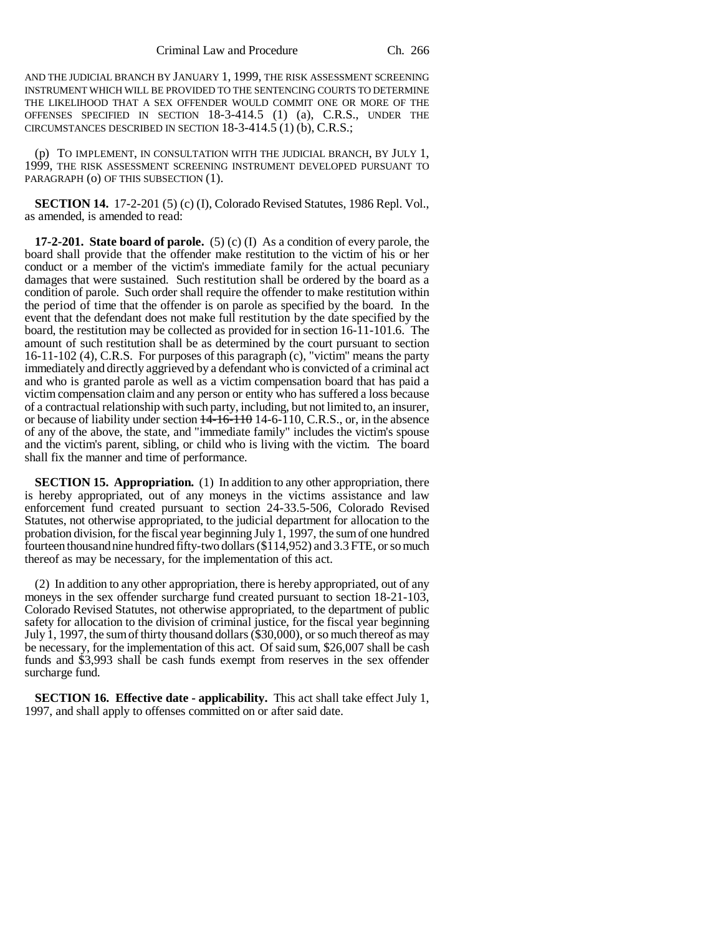AND THE JUDICIAL BRANCH BY JANUARY 1, 1999, THE RISK ASSESSMENT SCREENING INSTRUMENT WHICH WILL BE PROVIDED TO THE SENTENCING COURTS TO DETERMINE THE LIKELIHOOD THAT A SEX OFFENDER WOULD COMMIT ONE OR MORE OF THE OFFENSES SPECIFIED IN SECTION 18-3-414.5 (1) (a), C.R.S., UNDER THE CIRCUMSTANCES DESCRIBED IN SECTION 18-3-414.5 (1) (b), C.R.S.;

(p) TO IMPLEMENT, IN CONSULTATION WITH THE JUDICIAL BRANCH, BY JULY 1, 1999, THE RISK ASSESSMENT SCREENING INSTRUMENT DEVELOPED PURSUANT TO PARAGRAPH (o) OF THIS SUBSECTION (1).

**SECTION 14.** 17-2-201 (5) (c) (I), Colorado Revised Statutes, 1986 Repl. Vol., as amended, is amended to read:

**17-2-201. State board of parole.** (5) (c) (I) As a condition of every parole, the board shall provide that the offender make restitution to the victim of his or her conduct or a member of the victim's immediate family for the actual pecuniary damages that were sustained. Such restitution shall be ordered by the board as a condition of parole. Such order shall require the offender to make restitution within the period of time that the offender is on parole as specified by the board. In the event that the defendant does not make full restitution by the date specified by the board, the restitution may be collected as provided for in section 16-11-101.6. The amount of such restitution shall be as determined by the court pursuant to section 16-11-102 (4), C.R.S. For purposes of this paragraph (c), "victim" means the party immediately and directly aggrieved by a defendant who is convicted of a criminal act and who is granted parole as well as a victim compensation board that has paid a victim compensation claim and any person or entity who has suffered a loss because of a contractual relationship with such party, including, but not limited to, an insurer, or because of liability under section  $\frac{14-16-110}{14-6-110}$ , C.R.S., or, in the absence of any of the above, the state, and "immediate family" includes the victim's spouse and the victim's parent, sibling, or child who is living with the victim. The board shall fix the manner and time of performance.

**SECTION 15. Appropriation.** (1) In addition to any other appropriation, there is hereby appropriated, out of any moneys in the victims assistance and law enforcement fund created pursuant to section 24-33.5-506, Colorado Revised Statutes, not otherwise appropriated, to the judicial department for allocation to the probation division, for the fiscal year beginning July 1, 1997, the sum of one hundred fourteen thousand nine hundred fifty-two dollars (\$114,952) and 3.3 FTE, or so much thereof as may be necessary, for the implementation of this act.

(2) In addition to any other appropriation, there is hereby appropriated, out of any moneys in the sex offender surcharge fund created pursuant to section 18-21-103, Colorado Revised Statutes, not otherwise appropriated, to the department of public safety for allocation to the division of criminal justice, for the fiscal year beginning July 1, 1997, the sum of thirty thousand dollars (\$30,000), or so much thereof as may be necessary, for the implementation of this act. Of said sum, \$26,007 shall be cash funds and \$3,993 shall be cash funds exempt from reserves in the sex offender surcharge fund.

**SECTION 16. Effective date - applicability.** This act shall take effect July 1, 1997, and shall apply to offenses committed on or after said date.